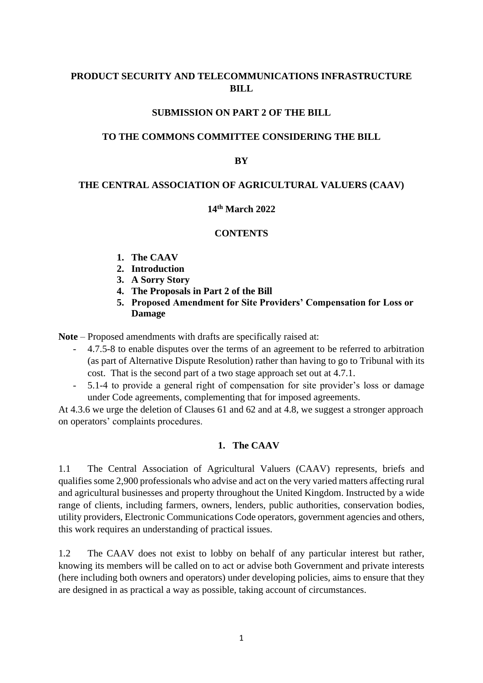## **PRODUCT SECURITY AND TELECOMMUNICATIONS INFRASTRUCTURE BILL**

## **SUBMISSION ON PART 2 OF THE BILL**

### **TO THE COMMONS COMMITTEE CONSIDERING THE BILL**

### **BY**

## **THE CENTRAL ASSOCIATION OF AGRICULTURAL VALUERS (CAAV)**

### **14th March 2022**

#### **CONTENTS**

- **1. The CAAV**
- **2. Introduction**
- **3. A Sorry Story**
- **4. The Proposals in Part 2 of the Bill**
- **5. Proposed Amendment for Site Providers' Compensation for Loss or Damage**

**Note** – Proposed amendments with drafts are specifically raised at:

- 4.7.5-8 to enable disputes over the terms of an agreement to be referred to arbitration (as part of Alternative Dispute Resolution) rather than having to go to Tribunal with its cost. That is the second part of a two stage approach set out at 4.7.1.
- 5.1-4 to provide a general right of compensation for site provider's loss or damage under Code agreements, complementing that for imposed agreements.

At 4.3.6 we urge the deletion of Clauses 61 and 62 and at 4.8, we suggest a stronger approach on operators' complaints procedures.

### **1. The CAAV**

1.1 The Central Association of Agricultural Valuers (CAAV) represents, briefs and qualifies some 2,900 professionals who advise and act on the very varied matters affecting rural and agricultural businesses and property throughout the United Kingdom. Instructed by a wide range of clients, including farmers, owners, lenders, public authorities, conservation bodies, utility providers, Electronic Communications Code operators, government agencies and others, this work requires an understanding of practical issues.

1.2 The CAAV does not exist to lobby on behalf of any particular interest but rather, knowing its members will be called on to act or advise both Government and private interests (here including both owners and operators) under developing policies, aims to ensure that they are designed in as practical a way as possible, taking account of circumstances.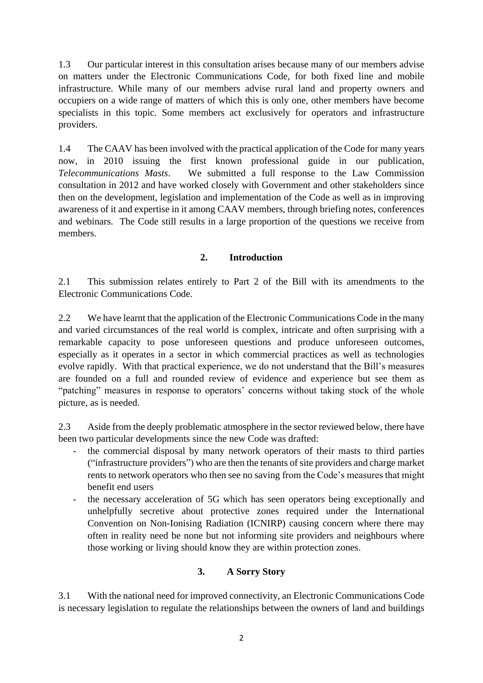1.3 Our particular interest in this consultation arises because many of our members advise on matters under the Electronic Communications Code, for both fixed line and mobile infrastructure. While many of our members advise rural land and property owners and occupiers on a wide range of matters of which this is only one, other members have become specialists in this topic. Some members act exclusively for operators and infrastructure providers.

1.4 The CAAV has been involved with the practical application of the Code for many years now, in 2010 issuing the first known professional guide in our publication, *Telecommunications Masts*. We submitted a full response to the Law Commission consultation in 2012 and have worked closely with Government and other stakeholders since then on the development, legislation and implementation of the Code as well as in improving awareness of it and expertise in it among CAAV members, through briefing notes, conferences and webinars. The Code still results in a large proportion of the questions we receive from members.

## **2. Introduction**

2.1 This submission relates entirely to Part 2 of the Bill with its amendments to the Electronic Communications Code.

2.2 We have learnt that the application of the Electronic Communications Code in the many and varied circumstances of the real world is complex, intricate and often surprising with a remarkable capacity to pose unforeseen questions and produce unforeseen outcomes, especially as it operates in a sector in which commercial practices as well as technologies evolve rapidly. With that practical experience, we do not understand that the Bill's measures are founded on a full and rounded review of evidence and experience but see them as "patching" measures in response to operators' concerns without taking stock of the whole picture, as is needed.

2.3 Aside from the deeply problematic atmosphere in the sector reviewed below, there have been two particular developments since the new Code was drafted:

- the commercial disposal by many network operators of their masts to third parties ("infrastructure providers") who are then the tenants of site providers and charge market rents to network operators who then see no saving from the Code's measures that might benefit end users
- the necessary acceleration of 5G which has seen operators being exceptionally and unhelpfully secretive about protective zones required under the International Convention on Non-Ionising Radiation (ICNIRP) causing concern where there may often in reality need be none but not informing site providers and neighbours where those working or living should know they are within protection zones.

# **3. A Sorry Story**

3.1 With the national need for improved connectivity, an Electronic Communications Code is necessary legislation to regulate the relationships between the owners of land and buildings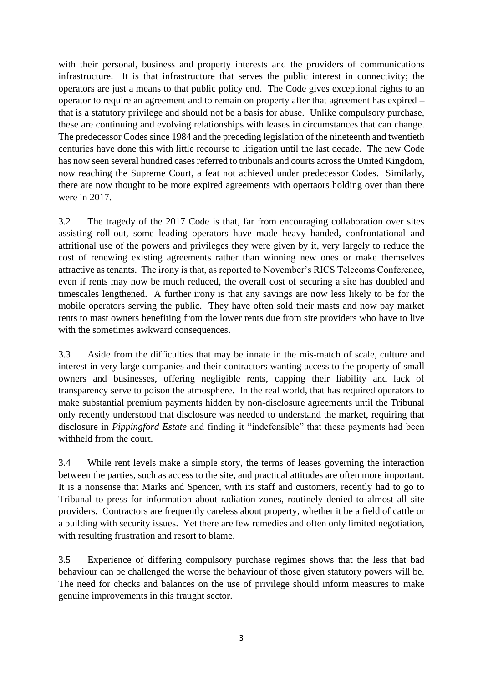with their personal, business and property interests and the providers of communications infrastructure. It is that infrastructure that serves the public interest in connectivity; the operators are just a means to that public policy end. The Code gives exceptional rights to an operator to require an agreement and to remain on property after that agreement has expired – that is a statutory privilege and should not be a basis for abuse. Unlike compulsory purchase, these are continuing and evolving relationships with leases in circumstances that can change. The predecessor Codes since 1984 and the preceding legislation of the nineteenth and twentieth centuries have done this with little recourse to litigation until the last decade. The new Code has now seen several hundred cases referred to tribunals and courts across the United Kingdom, now reaching the Supreme Court, a feat not achieved under predecessor Codes. Similarly, there are now thought to be more expired agreements with opertaors holding over than there were in 2017.

3.2 The tragedy of the 2017 Code is that, far from encouraging collaboration over sites assisting roll-out, some leading operators have made heavy handed, confrontational and attritional use of the powers and privileges they were given by it, very largely to reduce the cost of renewing existing agreements rather than winning new ones or make themselves attractive as tenants. The irony is that, as reported to November's RICS Telecoms Conference, even if rents may now be much reduced, the overall cost of securing a site has doubled and timescales lengthened. A further irony is that any savings are now less likely to be for the mobile operators serving the public. They have often sold their masts and now pay market rents to mast owners benefiting from the lower rents due from site providers who have to live with the sometimes awkward consequences.

3.3 Aside from the difficulties that may be innate in the mis-match of scale, culture and interest in very large companies and their contractors wanting access to the property of small owners and businesses, offering negligible rents, capping their liability and lack of transparency serve to poison the atmosphere. In the real world, that has required operators to make substantial premium payments hidden by non-disclosure agreements until the Tribunal only recently understood that disclosure was needed to understand the market, requiring that disclosure in *Pippingford Estate* and finding it "indefensible" that these payments had been withheld from the court.

3.4 While rent levels make a simple story, the terms of leases governing the interaction between the parties, such as access to the site, and practical attitudes are often more important. It is a nonsense that Marks and Spencer, with its staff and customers, recently had to go to Tribunal to press for information about radiation zones, routinely denied to almost all site providers. Contractors are frequently careless about property, whether it be a field of cattle or a building with security issues. Yet there are few remedies and often only limited negotiation, with resulting frustration and resort to blame.

3.5 Experience of differing compulsory purchase regimes shows that the less that bad behaviour can be challenged the worse the behaviour of those given statutory powers will be. The need for checks and balances on the use of privilege should inform measures to make genuine improvements in this fraught sector.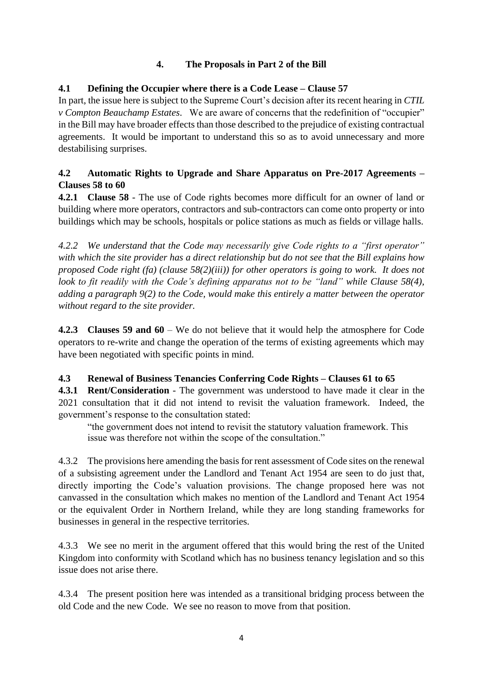# **4. The Proposals in Part 2 of the Bill**

# **4.1 Defining the Occupier where there is a Code Lease – Clause 57**

In part, the issue here is subject to the Supreme Court's decision after its recent hearing in *CTIL v Compton Beauchamp Estates*. We are aware of concerns that the redefinition of "occupier" in the Bill may have broader effects than those described to the prejudice of existing contractual agreements. It would be important to understand this so as to avoid unnecessary and more destabilising surprises.

# **4.2 Automatic Rights to Upgrade and Share Apparatus on Pre-2017 Agreements – Clauses 58 to 60**

**4.2.1 Clause 58** - The use of Code rights becomes more difficult for an owner of land or building where more operators, contractors and sub-contractors can come onto property or into buildings which may be schools, hospitals or police stations as much as fields or village halls.

*4.2.2 We understand that the Code may necessarily give Code rights to a "first operator" with which the site provider has a direct relationship but do not see that the Bill explains how proposed Code right (fa) (clause 58(2)(iii)) for other operators is going to work. It does not look to fit readily with the Code's defining apparatus not to be "land" while Clause 58(4), adding a paragraph 9(2) to the Code, would make this entirely a matter between the operator without regard to the site provider.* 

**4.2.3 Clauses 59 and 60** – We do not believe that it would help the atmosphere for Code operators to re-write and change the operation of the terms of existing agreements which may have been negotiated with specific points in mind.

# **4.3 Renewal of Business Tenancies Conferring Code Rights – Clauses 61 to 65**

**4.3.1 Rent/Consideration** - The government was understood to have made it clear in the 2021 consultation that it did not intend to revisit the valuation framework. Indeed, the government's response to the consultation stated:

"the government does not intend to revisit the statutory valuation framework. This issue was therefore not within the scope of the consultation."

4.3.2 The provisions here amending the basis for rent assessment of Code sites on the renewal of a subsisting agreement under the Landlord and Tenant Act 1954 are seen to do just that, directly importing the Code's valuation provisions. The change proposed here was not canvassed in the consultation which makes no mention of the Landlord and Tenant Act 1954 or the equivalent Order in Northern Ireland, while they are long standing frameworks for businesses in general in the respective territories.

4.3.3 We see no merit in the argument offered that this would bring the rest of the United Kingdom into conformity with Scotland which has no business tenancy legislation and so this issue does not arise there.

4.3.4 The present position here was intended as a transitional bridging process between the old Code and the new Code. We see no reason to move from that position.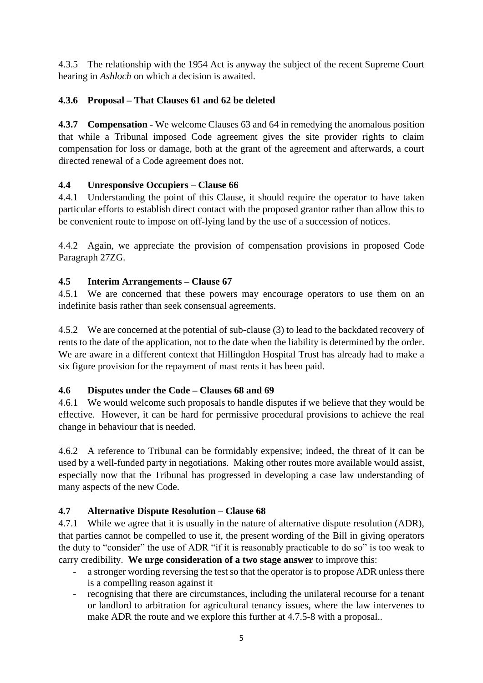4.3.5 The relationship with the 1954 Act is anyway the subject of the recent Supreme Court hearing in *Ashloch* on which a decision is awaited.

# **4.3.6 Proposal – That Clauses 61 and 62 be deleted**

**4.3.7 Compensation** - We welcome Clauses 63 and 64 in remedying the anomalous position that while a Tribunal imposed Code agreement gives the site provider rights to claim compensation for loss or damage, both at the grant of the agreement and afterwards, a court directed renewal of a Code agreement does not.

# **4.4 Unresponsive Occupiers – Clause 66**

4.4.1 Understanding the point of this Clause, it should require the operator to have taken particular efforts to establish direct contact with the proposed grantor rather than allow this to be convenient route to impose on off-lying land by the use of a succession of notices.

4.4.2 Again, we appreciate the provision of compensation provisions in proposed Code Paragraph 27ZG.

## **4.5 Interim Arrangements – Clause 67**

4.5.1 We are concerned that these powers may encourage operators to use them on an indefinite basis rather than seek consensual agreements.

4.5.2 We are concerned at the potential of sub-clause (3) to lead to the backdated recovery of rents to the date of the application, not to the date when the liability is determined by the order. We are aware in a different context that Hillingdon Hospital Trust has already had to make a six figure provision for the repayment of mast rents it has been paid.

## **4.6 Disputes under the Code – Clauses 68 and 69**

4.6.1 We would welcome such proposals to handle disputes if we believe that they would be effective. However, it can be hard for permissive procedural provisions to achieve the real change in behaviour that is needed.

4.6.2 A reference to Tribunal can be formidably expensive; indeed, the threat of it can be used by a well-funded party in negotiations. Making other routes more available would assist, especially now that the Tribunal has progressed in developing a case law understanding of many aspects of the new Code.

# **4.7 Alternative Dispute Resolution – Clause 68**

4.7.1 While we agree that it is usually in the nature of alternative dispute resolution (ADR), that parties cannot be compelled to use it, the present wording of the Bill in giving operators the duty to "consider" the use of ADR "if it is reasonably practicable to do so" is too weak to carry credibility. **We urge consideration of a two stage answer** to improve this:

- a stronger wording reversing the test so that the operator is to propose ADR unless there is a compelling reason against it
- recognising that there are circumstances, including the unilateral recourse for a tenant or landlord to arbitration for agricultural tenancy issues, where the law intervenes to make ADR the route and we explore this further at 4.7.5-8 with a proposal..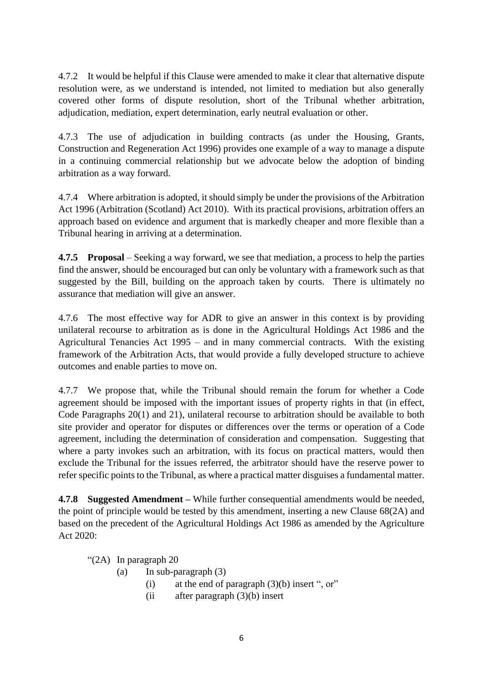4.7.2 It would be helpful if this Clause were amended to make it clear that alternative dispute resolution were, as we understand is intended, not limited to mediation but also generally covered other forms of dispute resolution, short of the Tribunal whether arbitration, adjudication, mediation, expert determination, early neutral evaluation or other.

4.7.3 The use of adjudication in building contracts (as under the Housing, Grants, Construction and Regeneration Act 1996) provides one example of a way to manage a dispute in a continuing commercial relationship but we advocate below the adoption of binding arbitration as a way forward.

4.7.4 Where arbitration is adopted, it should simply be under the provisions of the Arbitration Act 1996 (Arbitration (Scotland) Act 2010). With its practical provisions, arbitration offers an approach based on evidence and argument that is markedly cheaper and more flexible than a Tribunal hearing in arriving at a determination.

**4.7.5 Proposal** – Seeking a way forward, we see that mediation, a process to help the parties find the answer, should be encouraged but can only be voluntary with a framework such as that suggested by the Bill, building on the approach taken by courts. There is ultimately no assurance that mediation will give an answer.

4.7.6 The most effective way for ADR to give an answer in this context is by providing unilateral recourse to arbitration as is done in the Agricultural Holdings Act 1986 and the Agricultural Tenancies Act 1995 – and in many commercial contracts. With the existing framework of the Arbitration Acts, that would provide a fully developed structure to achieve outcomes and enable parties to move on.

4.7.7 We propose that, while the Tribunal should remain the forum for whether a Code agreement should be imposed with the important issues of property rights in that (in effect, Code Paragraphs 20(1) and 21), unilateral recourse to arbitration should be available to both site provider and operator for disputes or differences over the terms or operation of a Code agreement, including the determination of consideration and compensation. Suggesting that where a party invokes such an arbitration, with its focus on practical matters, would then exclude the Tribunal for the issues referred, the arbitrator should have the reserve power to refer specific points to the Tribunal, as where a practical matter disguises a fundamental matter.

**4.7.8 Suggested Amendment –** While further consequential amendments would be needed, the point of principle would be tested by this amendment, inserting a new Clause 68(2A) and based on the precedent of the Agricultural Holdings Act 1986 as amended by the Agriculture Act 2020:

"(2A) In paragraph 20

- (a) In sub-paragraph (3)
	- (i) at the end of paragraph  $(3)(b)$  insert ", or"
	- (ii after paragraph (3)(b) insert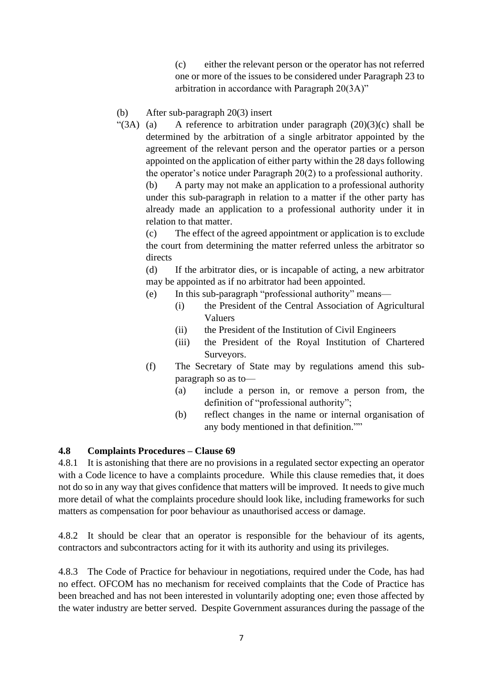(c) either the relevant person or the operator has not referred one or more of the issues to be considered under Paragraph 23 to arbitration in accordance with Paragraph 20(3A)"

### (b) After sub-paragraph 20(3) insert

"(3A) (a) A reference to arbitration under paragraph  $(20)(3)(c)$  shall be determined by the arbitration of a single arbitrator appointed by the agreement of the relevant person and the operator parties or a person appointed on the application of either party within the 28 days following the operator's notice under Paragraph 20(2) to a professional authority. (b) A party may not make an application to a professional authority

under this sub-paragraph in relation to a matter if the other party has already made an application to a professional authority under it in relation to that matter.

(c) The effect of the agreed appointment or application is to exclude the court from determining the matter referred unless the arbitrator so directs

(d) If the arbitrator dies, or is incapable of acting, a new arbitrator may be appointed as if no arbitrator had been appointed.

- (e) In this sub-paragraph "professional authority" means—
	- (i) the President of the Central Association of Agricultural Valuers
	- (ii) the President of the Institution of Civil Engineers
	- (iii) the President of the Royal Institution of Chartered Surveyors.
- (f) The Secretary of State may by regulations amend this subparagraph so as to—
	- (a) include a person in, or remove a person from, the definition of "professional authority";
	- (b) reflect changes in the name or internal organisation of any body mentioned in that definition.""

### **4.8 Complaints Procedures – Clause 69**

4.8.1 It is astonishing that there are no provisions in a regulated sector expecting an operator with a Code licence to have a complaints procedure. While this clause remedies that, it does not do so in any way that gives confidence that matters will be improved. It needs to give much more detail of what the complaints procedure should look like, including frameworks for such matters as compensation for poor behaviour as unauthorised access or damage.

4.8.2 It should be clear that an operator is responsible for the behaviour of its agents, contractors and subcontractors acting for it with its authority and using its privileges.

4.8.3 The Code of Practice for behaviour in negotiations, required under the Code, has had no effect. OFCOM has no mechanism for received complaints that the Code of Practice has been breached and has not been interested in voluntarily adopting one; even those affected by the water industry are better served. Despite Government assurances during the passage of the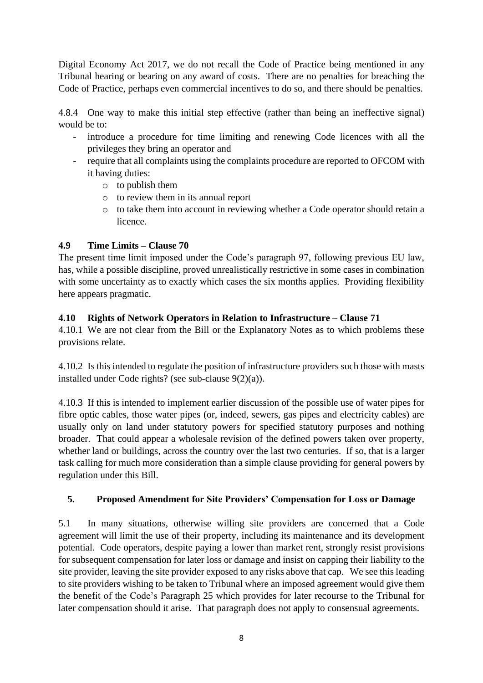Digital Economy Act 2017, we do not recall the Code of Practice being mentioned in any Tribunal hearing or bearing on any award of costs. There are no penalties for breaching the Code of Practice, perhaps even commercial incentives to do so, and there should be penalties.

4.8.4 One way to make this initial step effective (rather than being an ineffective signal) would be to:

- introduce a procedure for time limiting and renewing Code licences with all the privileges they bring an operator and
- require that all complaints using the complaints procedure are reported to OFCOM with it having duties:
	- o to publish them
	- o to review them in its annual report
	- o to take them into account in reviewing whether a Code operator should retain a licence.

## **4.9 Time Limits – Clause 70**

The present time limit imposed under the Code's paragraph 97, following previous EU law, has, while a possible discipline, proved unrealistically restrictive in some cases in combination with some uncertainty as to exactly which cases the six months applies. Providing flexibility here appears pragmatic.

## **4.10 Rights of Network Operators in Relation to Infrastructure – Clause 71**

4.10.1 We are not clear from the Bill or the Explanatory Notes as to which problems these provisions relate.

4.10.2 Is this intended to regulate the position of infrastructure providers such those with masts installed under Code rights? (see sub-clause 9(2)(a)).

4.10.3 If this is intended to implement earlier discussion of the possible use of water pipes for fibre optic cables, those water pipes (or, indeed, sewers, gas pipes and electricity cables) are usually only on land under statutory powers for specified statutory purposes and nothing broader. That could appear a wholesale revision of the defined powers taken over property, whether land or buildings, across the country over the last two centuries. If so, that is a larger task calling for much more consideration than a simple clause providing for general powers by regulation under this Bill.

# **5. Proposed Amendment for Site Providers' Compensation for Loss or Damage**

5.1 In many situations, otherwise willing site providers are concerned that a Code agreement will limit the use of their property, including its maintenance and its development potential. Code operators, despite paying a lower than market rent, strongly resist provisions for subsequent compensation for later loss or damage and insist on capping their liability to the site provider, leaving the site provider exposed to any risks above that cap. We see this leading to site providers wishing to be taken to Tribunal where an imposed agreement would give them the benefit of the Code's Paragraph 25 which provides for later recourse to the Tribunal for later compensation should it arise. That paragraph does not apply to consensual agreements.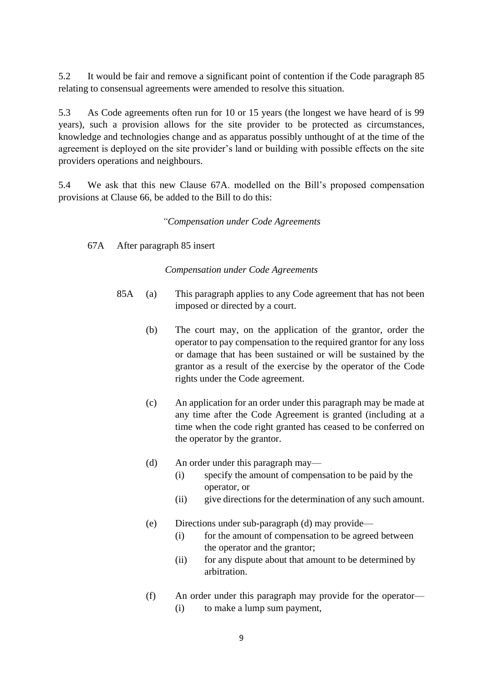5.2 It would be fair and remove a significant point of contention if the Code paragraph 85 relating to consensual agreements were amended to resolve this situation.

5.3 As Code agreements often run for 10 or 15 years (the longest we have heard of is 99 years), such a provision allows for the site provider to be protected as circumstances, knowledge and technologies change and as apparatus possibly unthought of at the time of the agreement is deployed on the site provider's land or building with possible effects on the site providers operations and neighbours.

5.4 We ask that this new Clause 67A. modelled on the Bill's proposed compensation provisions at Clause 66, be added to the Bill to do this:

## *"Compensation under Code Agreements*

67A After paragraph 85 insert

### *Compensation under Code Agreements*

- 85A (a) This paragraph applies to any Code agreement that has not been imposed or directed by a court.
	- (b) The court may, on the application of the grantor, order the operator to pay compensation to the required grantor for any loss or damage that has been sustained or will be sustained by the grantor as a result of the exercise by the operator of the Code rights under the Code agreement.
	- (c) An application for an order under this paragraph may be made at any time after the Code Agreement is granted (including at a time when the code right granted has ceased to be conferred on the operator by the grantor.
	- (d) An order under this paragraph may—
		- (i) specify the amount of compensation to be paid by the operator, or
		- (ii) give directions for the determination of any such amount.
	- (e) Directions under sub-paragraph (d) may provide—
		- (i) for the amount of compensation to be agreed between the operator and the grantor;
		- (ii) for any dispute about that amount to be determined by arbitration.
	- (f) An order under this paragraph may provide for the operator— (i) to make a lump sum payment,